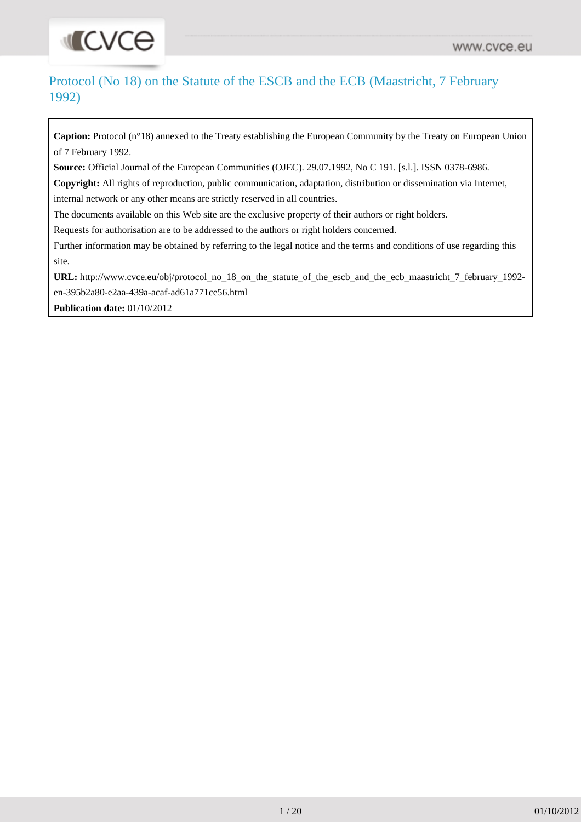# **INCACE**

# Protocol (No 18) on the Statute of the ESCB and the ECB (Maastricht, 7 February 1992)

**Caption:** Protocol (n°18) annexed to the Treaty establishing the European Community by the Treaty on European Union of 7 February 1992.

**Source:** Official Journal of the European Communities (OJEC). 29.07.1992, No C 191. [s.l.]. ISSN 0378-6986.

**Copyright:** All rights of reproduction, public communication, adaptation, distribution or dissemination via Internet, internal network or any other means are strictly reserved in all countries.

The documents available on this Web site are the exclusive property of their authors or right holders.

Requests for authorisation are to be addressed to the authors or right holders concerned.

Further information may be obtained by referring to the legal notice and the terms and conditions of use regarding this site.

**URL:** [http://www.cvce.eu/obj/protocol\\_no\\_18\\_on\\_the\\_statute\\_of\\_the\\_escb\\_and\\_the\\_ecb\\_maastricht\\_7\\_february\\_1992](http://www.cvce.eu/obj/protocol_no_18_on_the_statute_of_the_escb_and_the_ecb_maastricht_7_february_1992-en-395b2a80-e2aa-439a-acaf-ad61a771ce56.html) [en-395b2a80-e2aa-439a-acaf-ad61a771ce56.html](http://www.cvce.eu/obj/protocol_no_18_on_the_statute_of_the_escb_and_the_ecb_maastricht_7_february_1992-en-395b2a80-e2aa-439a-acaf-ad61a771ce56.html)

**Publication date:** 01/10/2012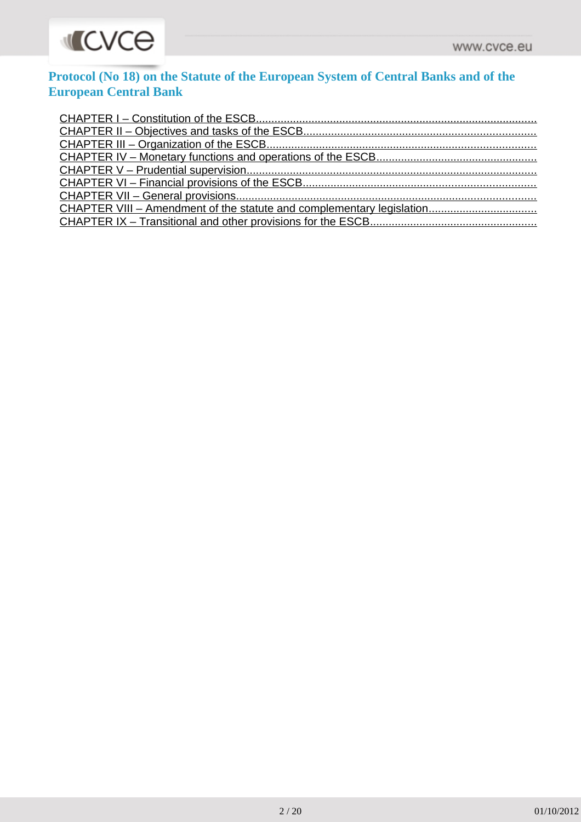

# **Protocol (No 18) on the Statute of the European System of Central Banks and of the European Central Bank**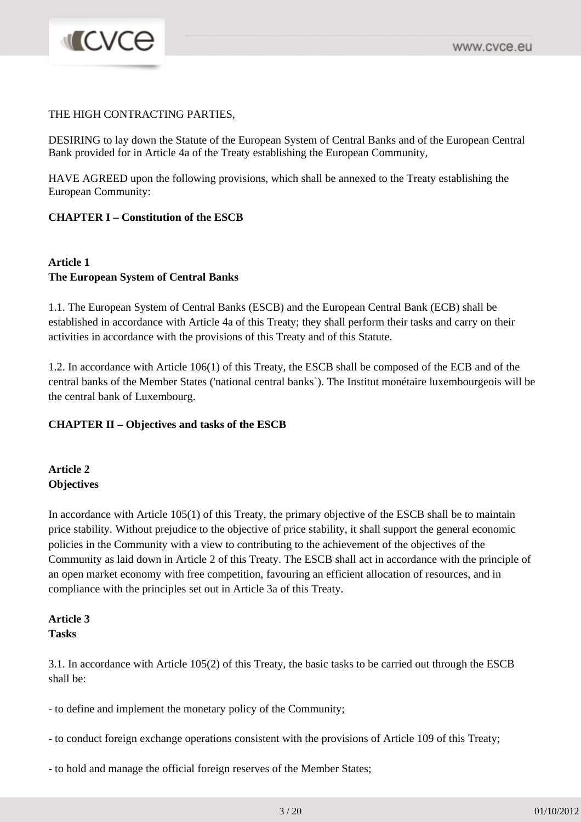#### THE HIGH CONTRACTING PARTIES,

**MICVCO** 

DESIRING to lay down the Statute of the European System of Central Banks and of the European Central Bank provided for in Article 4a of the Treaty establishing the European Community,

HAVE AGREED upon the following provisions, which shall be annexed to the Treaty establishing the European Community:

#### **CHAPTER I – Constitution of the ESCB**

#### **Article 1 The European System of Central Banks**

1.1. The European System of Central Banks (ESCB) and the European Central Bank (ECB) shall be established in accordance with Article 4a of this Treaty; they shall perform their tasks and carry on their activities in accordance with the provisions of this Treaty and of this Statute.

1.2. In accordance with Article 106(1) of this Treaty, the ESCB shall be composed of the ECB and of the central banks of the Member States ('national central banks`). The Institut monétaire luxembourgeois will be the central bank of Luxembourg.

#### **CHAPTER II – Objectives and tasks of the ESCB**

#### **Article 2 Objectives**

In accordance with Article 105(1) of this Treaty, the primary objective of the ESCB shall be to maintain price stability. Without prejudice to the objective of price stability, it shall support the general economic policies in the Community with a view to contributing to the achievement of the objectives of the Community as laid down in Article 2 of this Treaty. The ESCB shall act in accordance with the principle of an open market economy with free competition, favouring an efficient allocation of resources, and in compliance with the principles set out in Article 3a of this Treaty.

#### **Article 3 Tasks**

3.1. In accordance with Article 105(2) of this Treaty, the basic tasks to be carried out through the ESCB shall be:

- to define and implement the monetary policy of the Community;

- to conduct foreign exchange operations consistent with the provisions of Article 109 of this Treaty;
- to hold and manage the official foreign reserves of the Member States;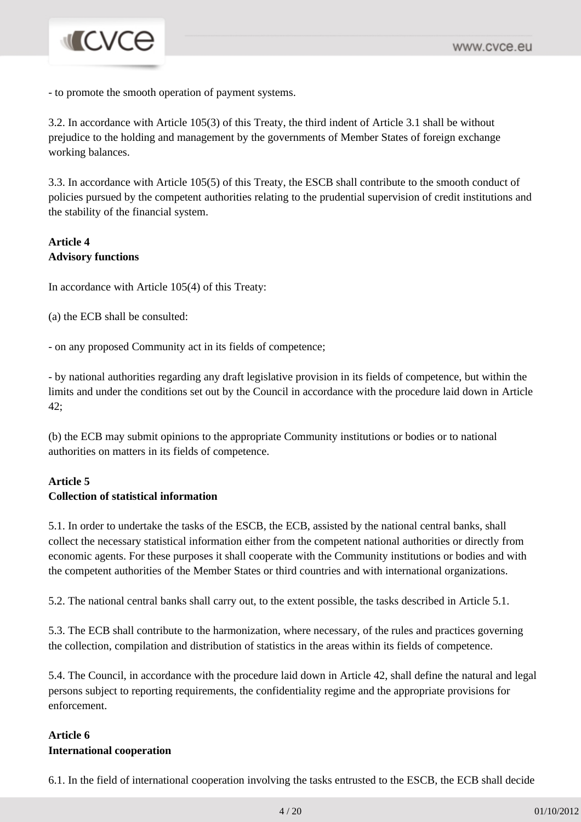# **INCVCE**

- to promote the smooth operation of payment systems.

3.2. In accordance with Article 105(3) of this Treaty, the third indent of Article 3.1 shall be without prejudice to the holding and management by the governments of Member States of foreign exchange working balances.

3.3. In accordance with Article 105(5) of this Treaty, the ESCB shall contribute to the smooth conduct of policies pursued by the competent authorities relating to the prudential supervision of credit institutions and the stability of the financial system.

#### **Article 4 Advisory functions**

In accordance with Article 105(4) of this Treaty:

(a) the ECB shall be consulted:

- on any proposed Community act in its fields of competence;

- by national authorities regarding any draft legislative provision in its fields of competence, but within the limits and under the conditions set out by the Council in accordance with the procedure laid down in Article 42;

(b) the ECB may submit opinions to the appropriate Community institutions or bodies or to national authorities on matters in its fields of competence.

#### **Article 5 Collection of statistical information**

5.1. In order to undertake the tasks of the ESCB, the ECB, assisted by the national central banks, shall collect the necessary statistical information either from the competent national authorities or directly from economic agents. For these purposes it shall cooperate with the Community institutions or bodies and with the competent authorities of the Member States or third countries and with international organizations.

5.2. The national central banks shall carry out, to the extent possible, the tasks described in Article 5.1.

5.3. The ECB shall contribute to the harmonization, where necessary, of the rules and practices governing the collection, compilation and distribution of statistics in the areas within its fields of competence.

5.4. The Council, in accordance with the procedure laid down in Article 42, shall define the natural and legal persons subject to reporting requirements, the confidentiality regime and the appropriate provisions for enforcement.

## **Article 6 International cooperation**

6.1. In the field of international cooperation involving the tasks entrusted to the ESCB, the ECB shall decide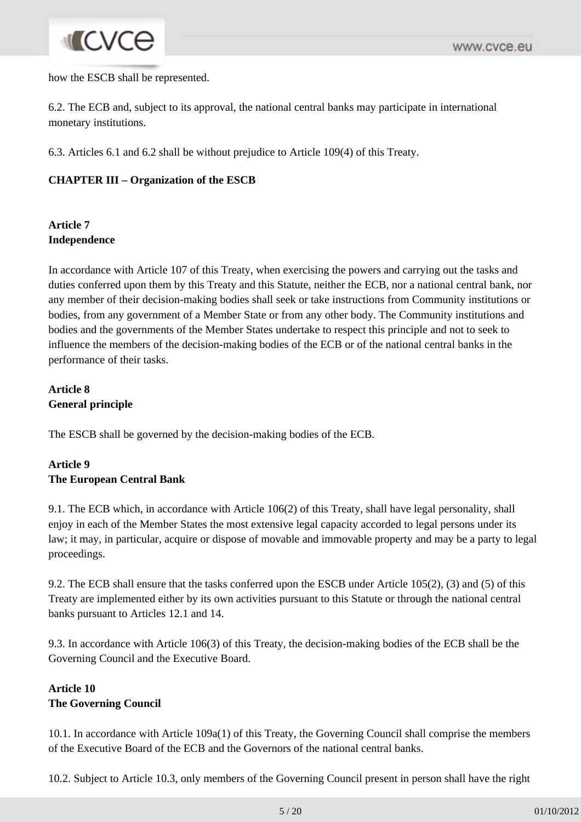# **INCVCe**

how the ESCB shall be represented.

6.2. The ECB and, subject to its approval, the national central banks may participate in international monetary institutions.

6.3. Articles 6.1 and 6.2 shall be without prejudice to Article 109(4) of this Treaty.

### **CHAPTER III – Organization of the ESCB**

## **Article 7 Independence**

In accordance with Article 107 of this Treaty, when exercising the powers and carrying out the tasks and duties conferred upon them by this Treaty and this Statute, neither the ECB, nor a national central bank, nor any member of their decision-making bodies shall seek or take instructions from Community institutions or bodies, from any government of a Member State or from any other body. The Community institutions and bodies and the governments of the Member States undertake to respect this principle and not to seek to influence the members of the decision-making bodies of the ECB or of the national central banks in the performance of their tasks.

# **Article 8 General principle**

The ESCB shall be governed by the decision-making bodies of the ECB.

## **Article 9 The European Central Bank**

9.1. The ECB which, in accordance with Article 106(2) of this Treaty, shall have legal personality, shall enjoy in each of the Member States the most extensive legal capacity accorded to legal persons under its law; it may, in particular, acquire or dispose of movable and immovable property and may be a party to legal proceedings.

9.2. The ECB shall ensure that the tasks conferred upon the ESCB under Article 105(2), (3) and (5) of this Treaty are implemented either by its own activities pursuant to this Statute or through the national central banks pursuant to Articles 12.1 and 14.

9.3. In accordance with Article 106(3) of this Treaty, the decision-making bodies of the ECB shall be the Governing Council and the Executive Board.

## **Article 10 The Governing Council**

10.1. In accordance with Article 109a(1) of this Treaty, the Governing Council shall comprise the members of the Executive Board of the ECB and the Governors of the national central banks.

10.2. Subject to Article 10.3, only members of the Governing Council present in person shall have the right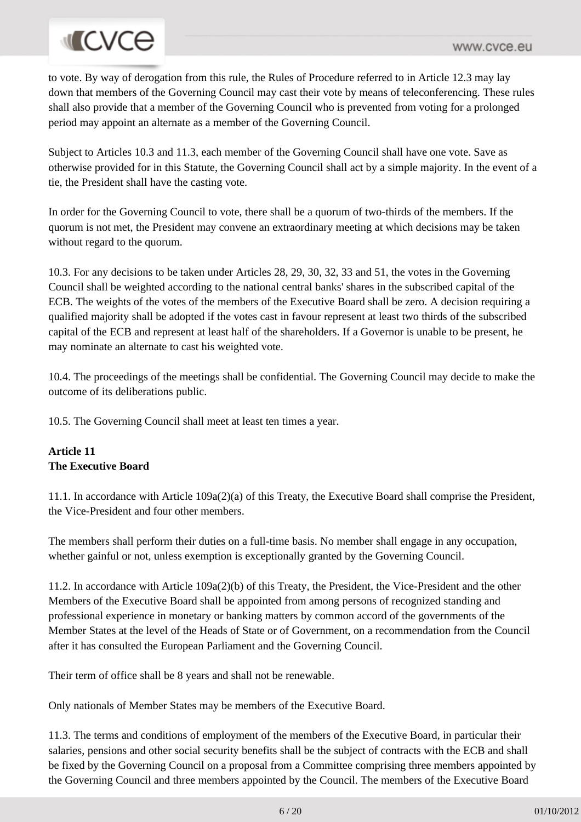# **MCVCe**

to vote. By way of derogation from this rule, the Rules of Procedure referred to in Article 12.3 may lay down that members of the Governing Council may cast their vote by means of teleconferencing. These rules shall also provide that a member of the Governing Council who is prevented from voting for a prolonged period may appoint an alternate as a member of the Governing Council.

Subject to Articles 10.3 and 11.3, each member of the Governing Council shall have one vote. Save as otherwise provided for in this Statute, the Governing Council shall act by a simple majority. In the event of a tie, the President shall have the casting vote.

In order for the Governing Council to vote, there shall be a quorum of two-thirds of the members. If the quorum is not met, the President may convene an extraordinary meeting at which decisions may be taken without regard to the quorum.

10.3. For any decisions to be taken under Articles 28, 29, 30, 32, 33 and 51, the votes in the Governing Council shall be weighted according to the national central banks' shares in the subscribed capital of the ECB. The weights of the votes of the members of the Executive Board shall be zero. A decision requiring a qualified majority shall be adopted if the votes cast in favour represent at least two thirds of the subscribed capital of the ECB and represent at least half of the shareholders. If a Governor is unable to be present, he may nominate an alternate to cast his weighted vote.

10.4. The proceedings of the meetings shall be confidential. The Governing Council may decide to make the outcome of its deliberations public.

10.5. The Governing Council shall meet at least ten times a year.

## **Article 11 The Executive Board**

11.1. In accordance with Article 109a(2)(a) of this Treaty, the Executive Board shall comprise the President, the Vice-President and four other members.

The members shall perform their duties on a full-time basis. No member shall engage in any occupation, whether gainful or not, unless exemption is exceptionally granted by the Governing Council.

11.2. In accordance with Article 109a(2)(b) of this Treaty, the President, the Vice-President and the other Members of the Executive Board shall be appointed from among persons of recognized standing and professional experience in monetary or banking matters by common accord of the governments of the Member States at the level of the Heads of State or of Government, on a recommendation from the Council after it has consulted the European Parliament and the Governing Council.

Their term of office shall be 8 years and shall not be renewable.

Only nationals of Member States may be members of the Executive Board.

11.3. The terms and conditions of employment of the members of the Executive Board, in particular their salaries, pensions and other social security benefits shall be the subject of contracts with the ECB and shall be fixed by the Governing Council on a proposal from a Committee comprising three members appointed by the Governing Council and three members appointed by the Council. The members of the Executive Board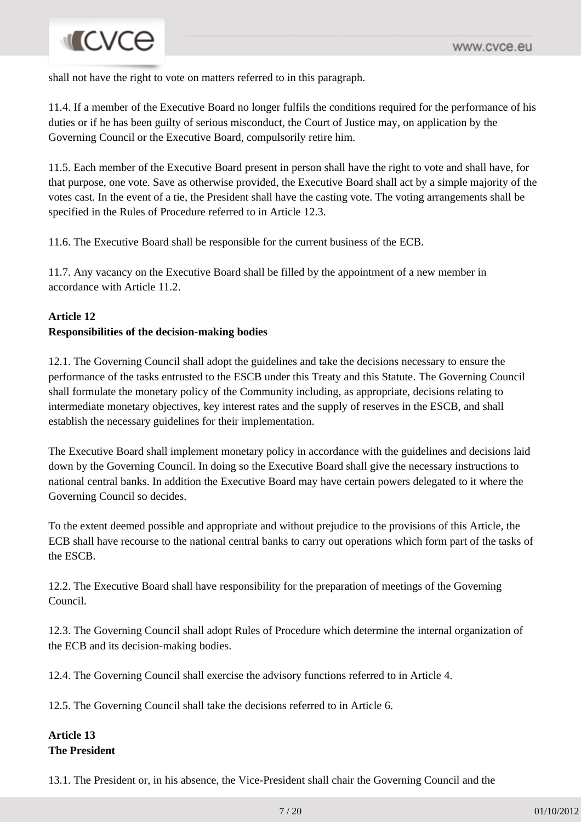# **INCVCE**

shall not have the right to vote on matters referred to in this paragraph.

11.4. If a member of the Executive Board no longer fulfils the conditions required for the performance of his duties or if he has been guilty of serious misconduct, the Court of Justice may, on application by the Governing Council or the Executive Board, compulsorily retire him.

11.5. Each member of the Executive Board present in person shall have the right to vote and shall have, for that purpose, one vote. Save as otherwise provided, the Executive Board shall act by a simple majority of the votes cast. In the event of a tie, the President shall have the casting vote. The voting arrangements shall be specified in the Rules of Procedure referred to in Article 12.3.

11.6. The Executive Board shall be responsible for the current business of the ECB.

11.7. Any vacancy on the Executive Board shall be filled by the appointment of a new member in accordance with Article 11.2.

# **Article 12 Responsibilities of the decision-making bodies**

12.1. The Governing Council shall adopt the guidelines and take the decisions necessary to ensure the performance of the tasks entrusted to the ESCB under this Treaty and this Statute. The Governing Council shall formulate the monetary policy of the Community including, as appropriate, decisions relating to intermediate monetary objectives, key interest rates and the supply of reserves in the ESCB, and shall establish the necessary guidelines for their implementation.

The Executive Board shall implement monetary policy in accordance with the guidelines and decisions laid down by the Governing Council. In doing so the Executive Board shall give the necessary instructions to national central banks. In addition the Executive Board may have certain powers delegated to it where the Governing Council so decides.

To the extent deemed possible and appropriate and without prejudice to the provisions of this Article, the ECB shall have recourse to the national central banks to carry out operations which form part of the tasks of the ESCB.

12.2. The Executive Board shall have responsibility for the preparation of meetings of the Governing Council.

12.3. The Governing Council shall adopt Rules of Procedure which determine the internal organization of the ECB and its decision-making bodies.

12.4. The Governing Council shall exercise the advisory functions referred to in Article 4.

12.5. The Governing Council shall take the decisions referred to in Article 6.

#### **Article 13 The President**

13.1. The President or, in his absence, the Vice-President shall chair the Governing Council and the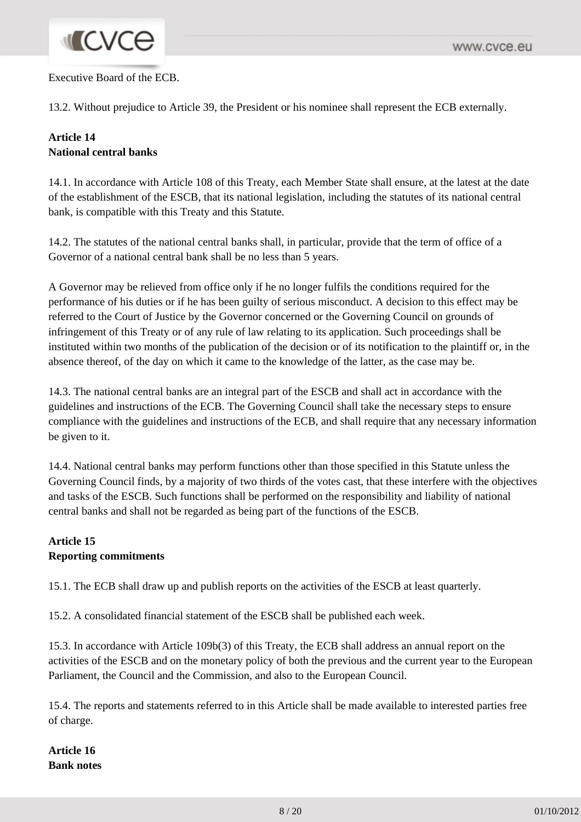# **MICVCO**

#### Executive Board of the ECB.

13.2. Without prejudice to Article 39, the President or his nominee shall represent the ECB externally.

## **Article 14 National central banks**

14.1. In accordance with Article 108 of this Treaty, each Member State shall ensure, at the latest at the date of the establishment of the ESCB, that its national legislation, including the statutes of its national central bank, is compatible with this Treaty and this Statute.

14.2. The statutes of the national central banks shall, in particular, provide that the term of office of a Governor of a national central bank shall be no less than 5 years.

A Governor may be relieved from office only if he no longer fulfils the conditions required for the performance of his duties or if he has been guilty of serious misconduct. A decision to this effect may be referred to the Court of Justice by the Governor concerned or the Governing Council on grounds of infringement of this Treaty or of any rule of law relating to its application. Such proceedings shall be instituted within two months of the publication of the decision or of its notification to the plaintiff or, in the absence thereof, of the day on which it came to the knowledge of the latter, as the case may be.

14.3. The national central banks are an integral part of the ESCB and shall act in accordance with the guidelines and instructions of the ECB. The Governing Council shall take the necessary steps to ensure compliance with the guidelines and instructions of the ECB, and shall require that any necessary information be given to it.

14.4. National central banks may perform functions other than those specified in this Statute unless the Governing Council finds, by a majority of two thirds of the votes cast, that these interfere with the objectives and tasks of the ESCB. Such functions shall be performed on the responsibility and liability of national central banks and shall not be regarded as being part of the functions of the ESCB.

# **Article 15 Reporting commitments**

15.1. The ECB shall draw up and publish reports on the activities of the ESCB at least quarterly.

15.2. A consolidated financial statement of the ESCB shall be published each week.

15.3. In accordance with Article 109b(3) of this Treaty, the ECB shall address an annual report on the activities of the ESCB and on the monetary policy of both the previous and the current year to the European Parliament, the Council and the Commission, and also to the European Council.

15.4. The reports and statements referred to in this Article shall be made available to interested parties free of charge.

**Article 16 Bank notes**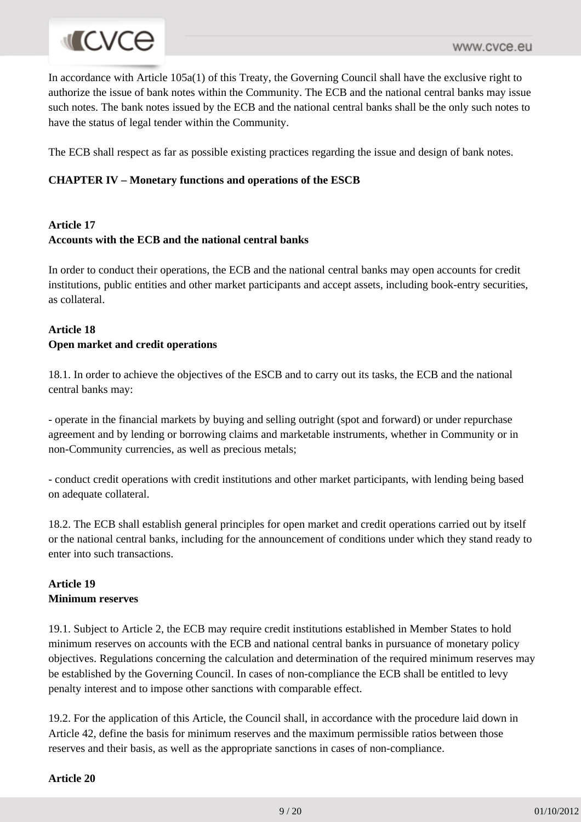In accordance with Article 105a(1) of this Treaty, the Governing Council shall have the exclusive right to authorize the issue of bank notes within the Community. The ECB and the national central banks may issue such notes. The bank notes issued by the ECB and the national central banks shall be the only such notes to have the status of legal tender within the Community.

The ECB shall respect as far as possible existing practices regarding the issue and design of bank notes.

#### **CHAPTER IV – Monetary functions and operations of the ESCB**

#### **Article 17 Accounts with the ECB and the national central banks**

In order to conduct their operations, the ECB and the national central banks may open accounts for credit institutions, public entities and other market participants and accept assets, including book-entry securities, as collateral.

#### **Article 18 Open market and credit operations**

18.1. In order to achieve the objectives of the ESCB and to carry out its tasks, the ECB and the national central banks may:

- operate in the financial markets by buying and selling outright (spot and forward) or under repurchase agreement and by lending or borrowing claims and marketable instruments, whether in Community or in non-Community currencies, as well as precious metals;

- conduct credit operations with credit institutions and other market participants, with lending being based on adequate collateral.

18.2. The ECB shall establish general principles for open market and credit operations carried out by itself or the national central banks, including for the announcement of conditions under which they stand ready to enter into such transactions.

## **Article 19 Minimum reserves**

19.1. Subject to Article 2, the ECB may require credit institutions established in Member States to hold minimum reserves on accounts with the ECB and national central banks in pursuance of monetary policy objectives. Regulations concerning the calculation and determination of the required minimum reserves may be established by the Governing Council. In cases of non-compliance the ECB shall be entitled to levy penalty interest and to impose other sanctions with comparable effect.

19.2. For the application of this Article, the Council shall, in accordance with the procedure laid down in Article 42, define the basis for minimum reserves and the maximum permissible ratios between those reserves and their basis, as well as the appropriate sanctions in cases of non-compliance.

**Article 20**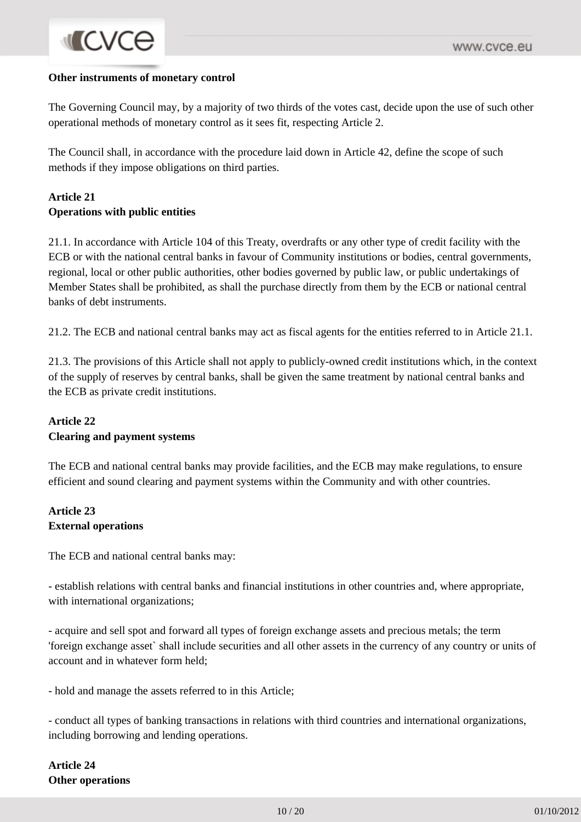#### **Other instruments of monetary control**

**MICVCO** 

The Governing Council may, by a majority of two thirds of the votes cast, decide upon the use of such other operational methods of monetary control as it sees fit, respecting Article 2.

The Council shall, in accordance with the procedure laid down in Article 42, define the scope of such methods if they impose obligations on third parties.

#### **Article 21 Operations with public entities**

21.1. In accordance with Article 104 of this Treaty, overdrafts or any other type of credit facility with the ECB or with the national central banks in favour of Community institutions or bodies, central governments, regional, local or other public authorities, other bodies governed by public law, or public undertakings of Member States shall be prohibited, as shall the purchase directly from them by the ECB or national central banks of debt instruments.

21.2. The ECB and national central banks may act as fiscal agents for the entities referred to in Article 21.1.

21.3. The provisions of this Article shall not apply to publicly-owned credit institutions which, in the context of the supply of reserves by central banks, shall be given the same treatment by national central banks and the ECB as private credit institutions.

#### **Article 22 Clearing and payment systems**

The ECB and national central banks may provide facilities, and the ECB may make regulations, to ensure efficient and sound clearing and payment systems within the Community and with other countries.

#### **Article 23 External operations**

The ECB and national central banks may:

- establish relations with central banks and financial institutions in other countries and, where appropriate, with international organizations;

- acquire and sell spot and forward all types of foreign exchange assets and precious metals; the term 'foreign exchange asset` shall include securities and all other assets in the currency of any country or units of account and in whatever form held;

- hold and manage the assets referred to in this Article;

- conduct all types of banking transactions in relations with third countries and international organizations, including borrowing and lending operations.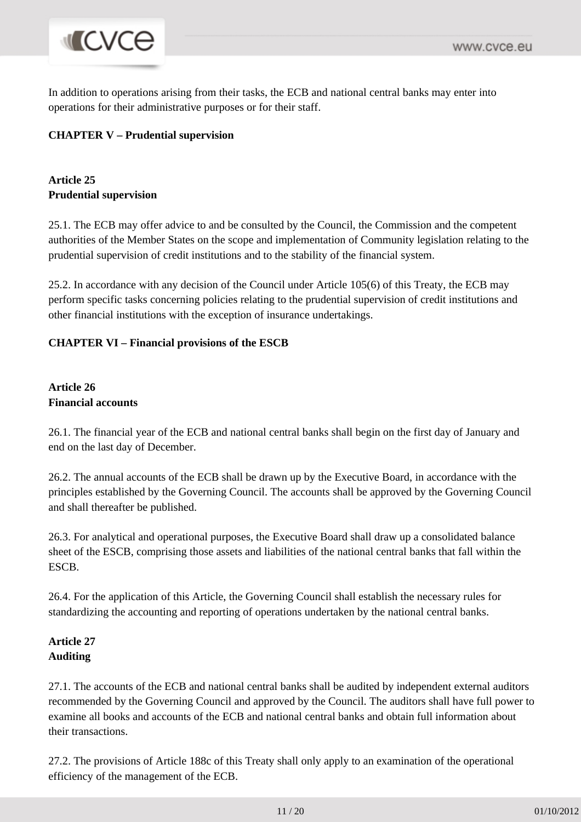# **MICVCO**

In addition to operations arising from their tasks, the ECB and national central banks may enter into operations for their administrative purposes or for their staff.

## **CHAPTER V – Prudential supervision**

# **Article 25 Prudential supervision**

25.1. The ECB may offer advice to and be consulted by the Council, the Commission and the competent authorities of the Member States on the scope and implementation of Community legislation relating to the prudential supervision of credit institutions and to the stability of the financial system.

25.2. In accordance with any decision of the Council under Article 105(6) of this Treaty, the ECB may perform specific tasks concerning policies relating to the prudential supervision of credit institutions and other financial institutions with the exception of insurance undertakings.

## **CHAPTER VI – Financial provisions of the ESCB**

## **Article 26 Financial accounts**

26.1. The financial year of the ECB and national central banks shall begin on the first day of January and end on the last day of December.

26.2. The annual accounts of the ECB shall be drawn up by the Executive Board, in accordance with the principles established by the Governing Council. The accounts shall be approved by the Governing Council and shall thereafter be published.

26.3. For analytical and operational purposes, the Executive Board shall draw up a consolidated balance sheet of the ESCB, comprising those assets and liabilities of the national central banks that fall within the ESCB.

26.4. For the application of this Article, the Governing Council shall establish the necessary rules for standardizing the accounting and reporting of operations undertaken by the national central banks.

## **Article 27 Auditing**

27.1. The accounts of the ECB and national central banks shall be audited by independent external auditors recommended by the Governing Council and approved by the Council. The auditors shall have full power to examine all books and accounts of the ECB and national central banks and obtain full information about their transactions.

27.2. The provisions of Article 188c of this Treaty shall only apply to an examination of the operational efficiency of the management of the ECB.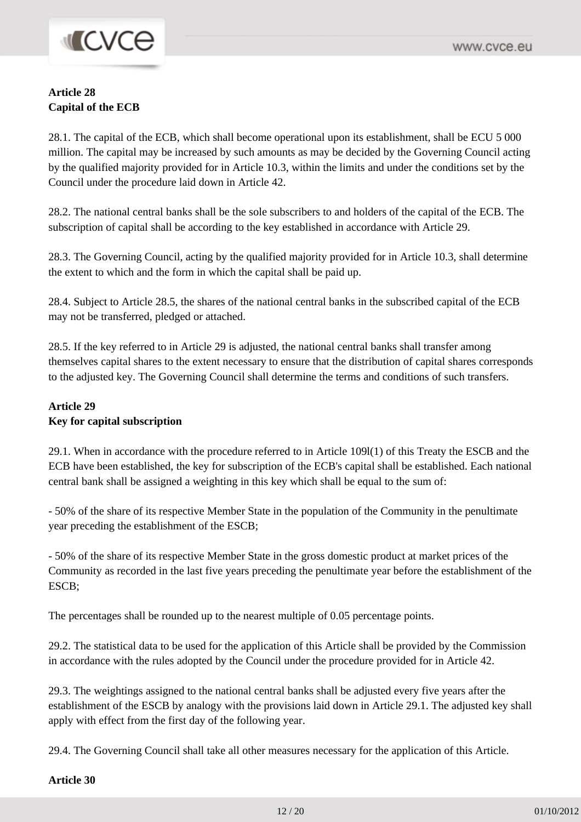# **MCVCe**

## **Article 28 Capital of the ECB**

28.1. The capital of the ECB, which shall become operational upon its establishment, shall be ECU 5 000 million. The capital may be increased by such amounts as may be decided by the Governing Council acting by the qualified majority provided for in Article 10.3, within the limits and under the conditions set by the Council under the procedure laid down in Article 42.

28.2. The national central banks shall be the sole subscribers to and holders of the capital of the ECB. The subscription of capital shall be according to the key established in accordance with Article 29.

28.3. The Governing Council, acting by the qualified majority provided for in Article 10.3, shall determine the extent to which and the form in which the capital shall be paid up.

28.4. Subject to Article 28.5, the shares of the national central banks in the subscribed capital of the ECB may not be transferred, pledged or attached.

28.5. If the key referred to in Article 29 is adjusted, the national central banks shall transfer among themselves capital shares to the extent necessary to ensure that the distribution of capital shares corresponds to the adjusted key. The Governing Council shall determine the terms and conditions of such transfers.

#### **Article 29 Key for capital subscription**

29.1. When in accordance with the procedure referred to in Article 109l(1) of this Treaty the ESCB and the ECB have been established, the key for subscription of the ECB's capital shall be established. Each national central bank shall be assigned a weighting in this key which shall be equal to the sum of:

- 50% of the share of its respective Member State in the population of the Community in the penultimate year preceding the establishment of the ESCB;

- 50% of the share of its respective Member State in the gross domestic product at market prices of the Community as recorded in the last five years preceding the penultimate year before the establishment of the ESCB;

The percentages shall be rounded up to the nearest multiple of 0.05 percentage points.

29.2. The statistical data to be used for the application of this Article shall be provided by the Commission in accordance with the rules adopted by the Council under the procedure provided for in Article 42.

29.3. The weightings assigned to the national central banks shall be adjusted every five years after the establishment of the ESCB by analogy with the provisions laid down in Article 29.1. The adjusted key shall apply with effect from the first day of the following year.

29.4. The Governing Council shall take all other measures necessary for the application of this Article.

**Article 30**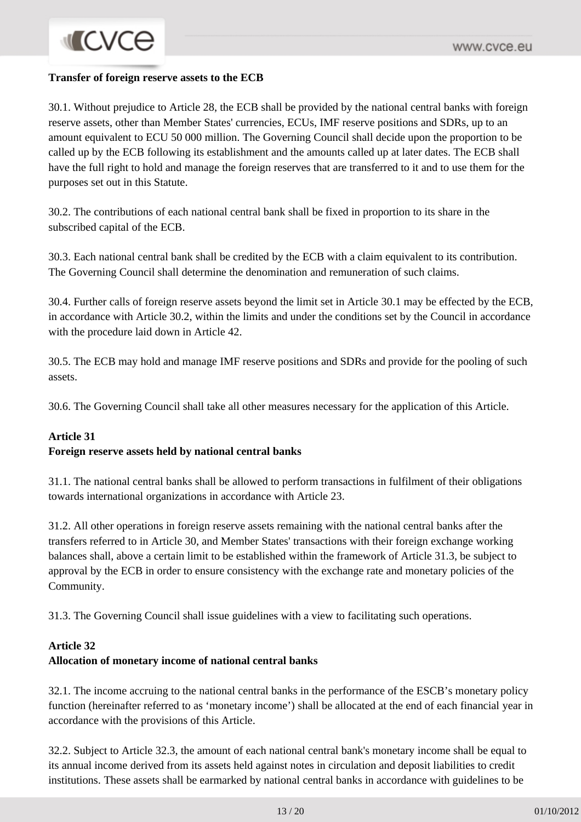#### **Transfer of foreign reserve assets to the ECB**

30.1. Without prejudice to Article 28, the ECB shall be provided by the national central banks with foreign reserve assets, other than Member States' currencies, ECUs, IMF reserve positions and SDRs, up to an amount equivalent to ECU 50 000 million. The Governing Council shall decide upon the proportion to be called up by the ECB following its establishment and the amounts called up at later dates. The ECB shall have the full right to hold and manage the foreign reserves that are transferred to it and to use them for the purposes set out in this Statute.

30.2. The contributions of each national central bank shall be fixed in proportion to its share in the subscribed capital of the ECB.

30.3. Each national central bank shall be credited by the ECB with a claim equivalent to its contribution. The Governing Council shall determine the denomination and remuneration of such claims.

30.4. Further calls of foreign reserve assets beyond the limit set in Article 30.1 may be effected by the ECB, in accordance with Article 30.2, within the limits and under the conditions set by the Council in accordance with the procedure laid down in Article 42.

30.5. The ECB may hold and manage IMF reserve positions and SDRs and provide for the pooling of such assets.

30.6. The Governing Council shall take all other measures necessary for the application of this Article.

#### **Article 31**

#### **Foreign reserve assets held by national central banks**

31.1. The national central banks shall be allowed to perform transactions in fulfilment of their obligations towards international organizations in accordance with Article 23.

31.2. All other operations in foreign reserve assets remaining with the national central banks after the transfers referred to in Article 30, and Member States' transactions with their foreign exchange working balances shall, above a certain limit to be established within the framework of Article 31.3, be subject to approval by the ECB in order to ensure consistency with the exchange rate and monetary policies of the Community.

31.3. The Governing Council shall issue guidelines with a view to facilitating such operations.

#### **Article 32**

#### **Allocation of monetary income of national central banks**

32.1. The income accruing to the national central banks in the performance of the ESCB's monetary policy function (hereinafter referred to as 'monetary income') shall be allocated at the end of each financial year in accordance with the provisions of this Article.

32.2. Subject to Article 32.3, the amount of each national central bank's monetary income shall be equal to its annual income derived from its assets held against notes in circulation and deposit liabilities to credit institutions. These assets shall be earmarked by national central banks in accordance with guidelines to be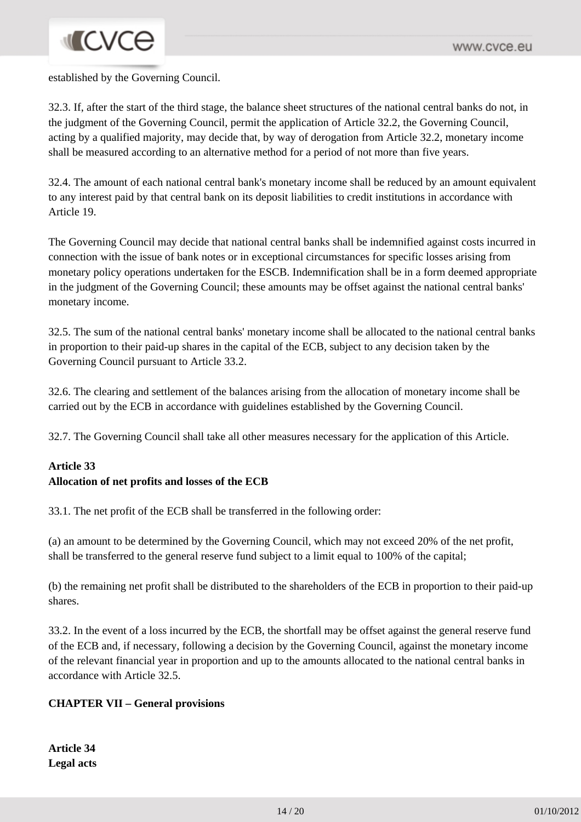# **INCVCE**

established by the Governing Council.

32.3. If, after the start of the third stage, the balance sheet structures of the national central banks do not, in the judgment of the Governing Council, permit the application of Article 32.2, the Governing Council, acting by a qualified majority, may decide that, by way of derogation from Article 32.2, monetary income shall be measured according to an alternative method for a period of not more than five years.

32.4. The amount of each national central bank's monetary income shall be reduced by an amount equivalent to any interest paid by that central bank on its deposit liabilities to credit institutions in accordance with Article 19.

The Governing Council may decide that national central banks shall be indemnified against costs incurred in connection with the issue of bank notes or in exceptional circumstances for specific losses arising from monetary policy operations undertaken for the ESCB. Indemnification shall be in a form deemed appropriate in the judgment of the Governing Council; these amounts may be offset against the national central banks' monetary income.

32.5. The sum of the national central banks' monetary income shall be allocated to the national central banks in proportion to their paid-up shares in the capital of the ECB, subject to any decision taken by the Governing Council pursuant to Article 33.2.

32.6. The clearing and settlement of the balances arising from the allocation of monetary income shall be carried out by the ECB in accordance with guidelines established by the Governing Council.

32.7. The Governing Council shall take all other measures necessary for the application of this Article.

# **Article 33 Allocation of net profits and losses of the ECB**

33.1. The net profit of the ECB shall be transferred in the following order:

(a) an amount to be determined by the Governing Council, which may not exceed 20% of the net profit, shall be transferred to the general reserve fund subject to a limit equal to 100% of the capital;

(b) the remaining net profit shall be distributed to the shareholders of the ECB in proportion to their paid-up shares.

33.2. In the event of a loss incurred by the ECB, the shortfall may be offset against the general reserve fund of the ECB and, if necessary, following a decision by the Governing Council, against the monetary income of the relevant financial year in proportion and up to the amounts allocated to the national central banks in accordance with Article 32.5.

# **CHAPTER VII – General provisions**

**Article 34 Legal acts**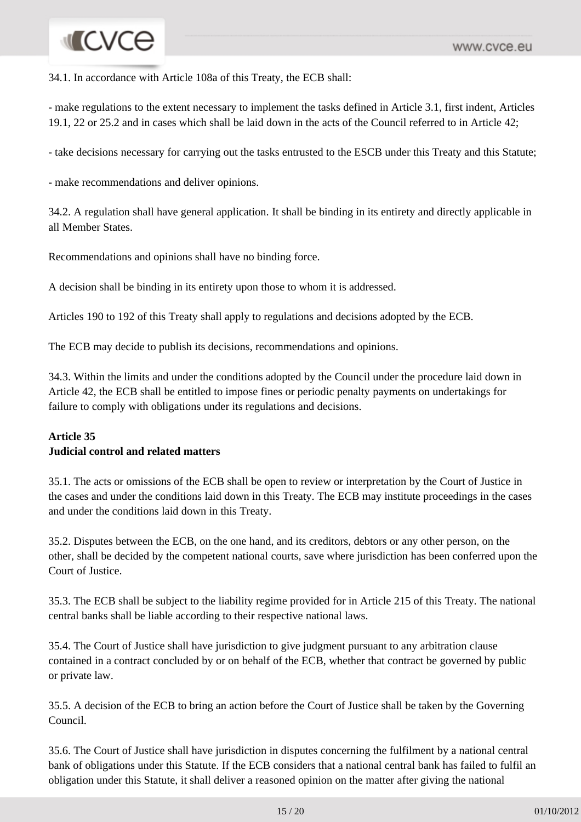# **INCVCe**

34.1. In accordance with Article 108a of this Treaty, the ECB shall:

- make regulations to the extent necessary to implement the tasks defined in Article 3.1, first indent, Articles 19.1, 22 or 25.2 and in cases which shall be laid down in the acts of the Council referred to in Article 42;

- take decisions necessary for carrying out the tasks entrusted to the ESCB under this Treaty and this Statute;

- make recommendations and deliver opinions.

34.2. A regulation shall have general application. It shall be binding in its entirety and directly applicable in all Member States.

Recommendations and opinions shall have no binding force.

A decision shall be binding in its entirety upon those to whom it is addressed.

Articles 190 to 192 of this Treaty shall apply to regulations and decisions adopted by the ECB.

The ECB may decide to publish its decisions, recommendations and opinions.

34.3. Within the limits and under the conditions adopted by the Council under the procedure laid down in Article 42, the ECB shall be entitled to impose fines or periodic penalty payments on undertakings for failure to comply with obligations under its regulations and decisions.

# **Article 35**

#### **Judicial control and related matters**

35.1. The acts or omissions of the ECB shall be open to review or interpretation by the Court of Justice in the cases and under the conditions laid down in this Treaty. The ECB may institute proceedings in the cases and under the conditions laid down in this Treaty.

35.2. Disputes between the ECB, on the one hand, and its creditors, debtors or any other person, on the other, shall be decided by the competent national courts, save where jurisdiction has been conferred upon the Court of Justice.

35.3. The ECB shall be subject to the liability regime provided for in Article 215 of this Treaty. The national central banks shall be liable according to their respective national laws.

35.4. The Court of Justice shall have jurisdiction to give judgment pursuant to any arbitration clause contained in a contract concluded by or on behalf of the ECB, whether that contract be governed by public or private law.

35.5. A decision of the ECB to bring an action before the Court of Justice shall be taken by the Governing Council.

35.6. The Court of Justice shall have jurisdiction in disputes concerning the fulfilment by a national central bank of obligations under this Statute. If the ECB considers that a national central bank has failed to fulfil an obligation under this Statute, it shall deliver a reasoned opinion on the matter after giving the national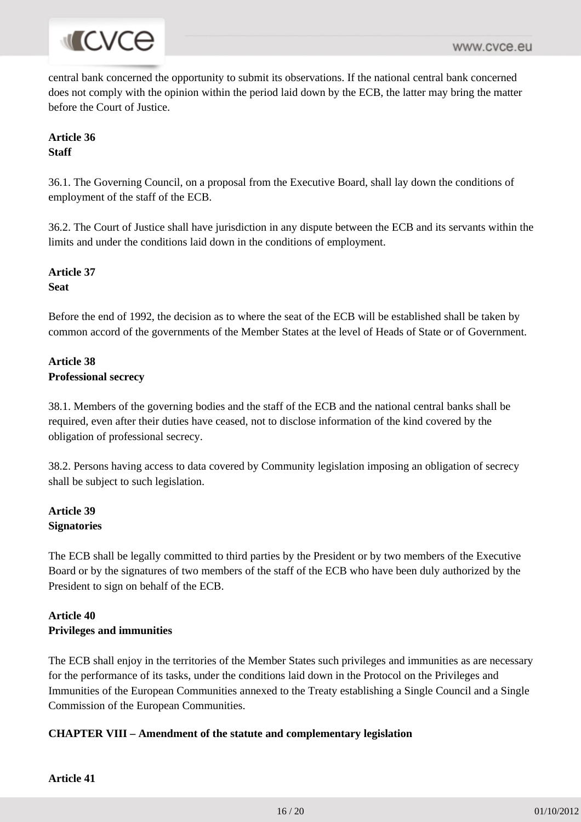

central bank concerned the opportunity to submit its observations. If the national central bank concerned does not comply with the opinion within the period laid down by the ECB, the latter may bring the matter before the Court of Justice.

# **Article 36 Staff**

36.1. The Governing Council, on a proposal from the Executive Board, shall lay down the conditions of employment of the staff of the ECB.

36.2. The Court of Justice shall have jurisdiction in any dispute between the ECB and its servants within the limits and under the conditions laid down in the conditions of employment.

**Article 37 Seat**

Before the end of 1992, the decision as to where the seat of the ECB will be established shall be taken by common accord of the governments of the Member States at the level of Heads of State or of Government.

# **Article 38 Professional secrecy**

38.1. Members of the governing bodies and the staff of the ECB and the national central banks shall be required, even after their duties have ceased, not to disclose information of the kind covered by the obligation of professional secrecy.

38.2. Persons having access to data covered by Community legislation imposing an obligation of secrecy shall be subject to such legislation.

## **Article 39 Signatories**

The ECB shall be legally committed to third parties by the President or by two members of the Executive Board or by the signatures of two members of the staff of the ECB who have been duly authorized by the President to sign on behalf of the ECB.

# **Article 40 Privileges and immunities**

The ECB shall enjoy in the territories of the Member States such privileges and immunities as are necessary for the performance of its tasks, under the conditions laid down in the Protocol on the Privileges and Immunities of the European Communities annexed to the Treaty establishing a Single Council and a Single Commission of the European Communities.

#### **CHAPTER VIII – Amendment of the statute and complementary legislation**

**Article 41**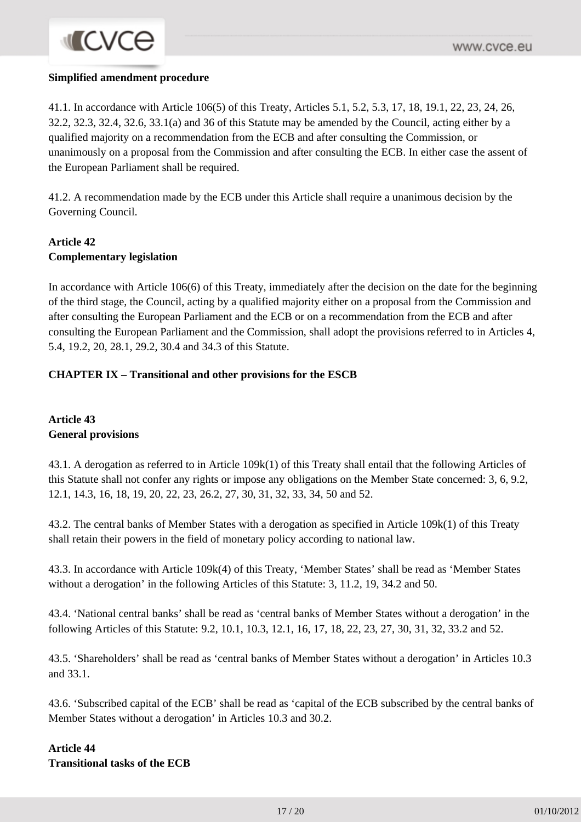#### **Simplified amendment procedure**

41.1. In accordance with Article 106(5) of this Treaty, Articles 5.1, 5.2, 5.3, 17, 18, 19.1, 22, 23, 24, 26, 32.2, 32.3, 32.4, 32.6, 33.1(a) and 36 of this Statute may be amended by the Council, acting either by a qualified majority on a recommendation from the ECB and after consulting the Commission, or unanimously on a proposal from the Commission and after consulting the ECB. In either case the assent of the European Parliament shall be required.

41.2. A recommendation made by the ECB under this Article shall require a unanimous decision by the Governing Council.

#### **Article 42 Complementary legislation**

In accordance with Article 106(6) of this Treaty, immediately after the decision on the date for the beginning of the third stage, the Council, acting by a qualified majority either on a proposal from the Commission and after consulting the European Parliament and the ECB or on a recommendation from the ECB and after consulting the European Parliament and the Commission, shall adopt the provisions referred to in Articles 4, 5.4, 19.2, 20, 28.1, 29.2, 30.4 and 34.3 of this Statute.

#### **CHAPTER IX – Transitional and other provisions for the ESCB**

## **Article 43 General provisions**

43.1. A derogation as referred to in Article 109k(1) of this Treaty shall entail that the following Articles of this Statute shall not confer any rights or impose any obligations on the Member State concerned: 3, 6, 9.2, 12.1, 14.3, 16, 18, 19, 20, 22, 23, 26.2, 27, 30, 31, 32, 33, 34, 50 and 52.

43.2. The central banks of Member States with a derogation as specified in Article 109k(1) of this Treaty shall retain their powers in the field of monetary policy according to national law.

43.3. In accordance with Article 109k(4) of this Treaty, 'Member States' shall be read as 'Member States without a derogation' in the following Articles of this Statute: 3, 11.2, 19, 34.2 and 50.

43.4. 'National central banks' shall be read as 'central banks of Member States without a derogation' in the following Articles of this Statute: 9.2, 10.1, 10.3, 12.1, 16, 17, 18, 22, 23, 27, 30, 31, 32, 33.2 and 52.

43.5. 'Shareholders' shall be read as 'central banks of Member States without a derogation' in Articles 10.3 and 33.1.

43.6. 'Subscribed capital of the ECB' shall be read as 'capital of the ECB subscribed by the central banks of Member States without a derogation' in Articles 10.3 and 30.2.

### **Article 44 Transitional tasks of the ECB**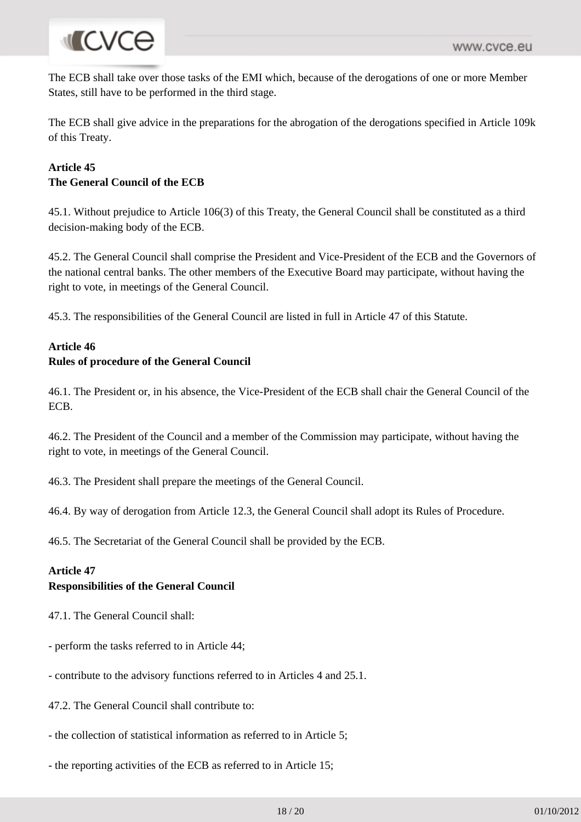# **I**CVCe

The ECB shall take over those tasks of the EMI which, because of the derogations of one or more Member States, still have to be performed in the third stage.

The ECB shall give advice in the preparations for the abrogation of the derogations specified in Article 109k of this Treaty.

# **Article 45 The General Council of the ECB**

45.1. Without prejudice to Article 106(3) of this Treaty, the General Council shall be constituted as a third decision-making body of the ECB.

45.2. The General Council shall comprise the President and Vice-President of the ECB and the Governors of the national central banks. The other members of the Executive Board may participate, without having the right to vote, in meetings of the General Council.

45.3. The responsibilities of the General Council are listed in full in Article 47 of this Statute.

## **Article 46**

# **Rules of procedure of the General Council**

46.1. The President or, in his absence, the Vice-President of the ECB shall chair the General Council of the ECB.

46.2. The President of the Council and a member of the Commission may participate, without having the right to vote, in meetings of the General Council.

46.3. The President shall prepare the meetings of the General Council.

46.4. By way of derogation from Article 12.3, the General Council shall adopt its Rules of Procedure.

46.5. The Secretariat of the General Council shall be provided by the ECB.

# **Article 47**

#### **Responsibilities of the General Council**

- 47.1. The General Council shall:
- perform the tasks referred to in Article 44;
- contribute to the advisory functions referred to in Articles 4 and 25.1.
- 47.2. The General Council shall contribute to:
- the collection of statistical information as referred to in Article 5;
- the reporting activities of the ECB as referred to in Article 15;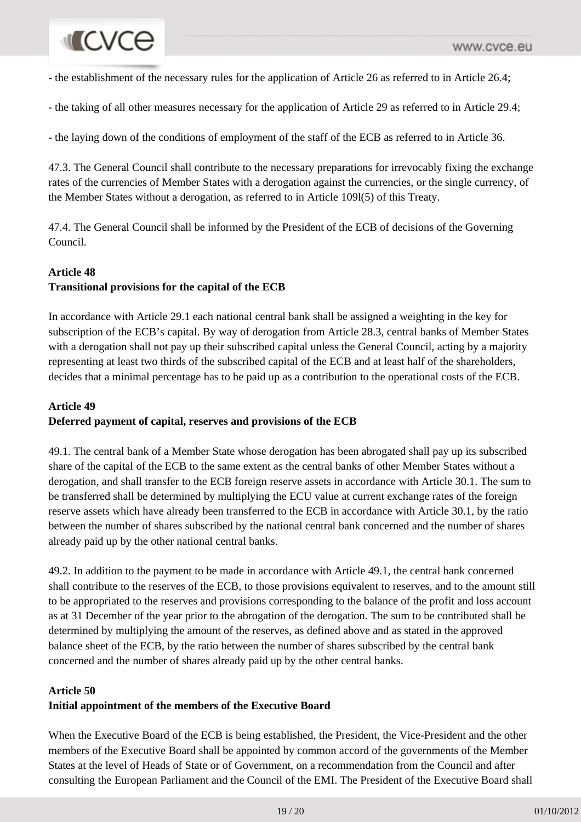# **INCVCe**

- the establishment of the necessary rules for the application of Article 26 as referred to in Article 26.4;

- the taking of all other measures necessary for the application of Article 29 as referred to in Article 29.4;

- the laying down of the conditions of employment of the staff of the ECB as referred to in Article 36.

47.3. The General Council shall contribute to the necessary preparations for irrevocably fixing the exchange rates of the currencies of Member States with a derogation against the currencies, or the single currency, of the Member States without a derogation, as referred to in Article 109l(5) of this Treaty.

47.4. The General Council shall be informed by the President of the ECB of decisions of the Governing Council.

#### **Article 48**

# **Transitional provisions for the capital of the ECB**

In accordance with Article 29.1 each national central bank shall be assigned a weighting in the key for subscription of the ECB's capital. By way of derogation from Article 28.3, central banks of Member States with a derogation shall not pay up their subscribed capital unless the General Council, acting by a majority representing at least two thirds of the subscribed capital of the ECB and at least half of the shareholders, decides that a minimal percentage has to be paid up as a contribution to the operational costs of the ECB.

### **Article 49**

#### **Deferred payment of capital, reserves and provisions of the ECB**

49.1. The central bank of a Member State whose derogation has been abrogated shall pay up its subscribed share of the capital of the ECB to the same extent as the central banks of other Member States without a derogation, and shall transfer to the ECB foreign reserve assets in accordance with Article 30.1. The sum to be transferred shall be determined by multiplying the ECU value at current exchange rates of the foreign reserve assets which have already been transferred to the ECB in accordance with Article 30.1, by the ratio between the number of shares subscribed by the national central bank concerned and the number of shares already paid up by the other national central banks.

49.2. In addition to the payment to be made in accordance with Article 49.1, the central bank concerned shall contribute to the reserves of the ECB, to those provisions equivalent to reserves, and to the amount still to be appropriated to the reserves and provisions corresponding to the balance of the profit and loss account as at 31 December of the year prior to the abrogation of the derogation. The sum to be contributed shall be determined by multiplying the amount of the reserves, as defined above and as stated in the approved balance sheet of the ECB, by the ratio between the number of shares subscribed by the central bank concerned and the number of shares already paid up by the other central banks.

#### **Article 50**

#### **Initial appointment of the members of the Executive Board**

When the Executive Board of the ECB is being established, the President, the Vice-President and the other members of the Executive Board shall be appointed by common accord of the governments of the Member States at the level of Heads of State or of Government, on a recommendation from the Council and after consulting the European Parliament and the Council of the EMI. The President of the Executive Board shall